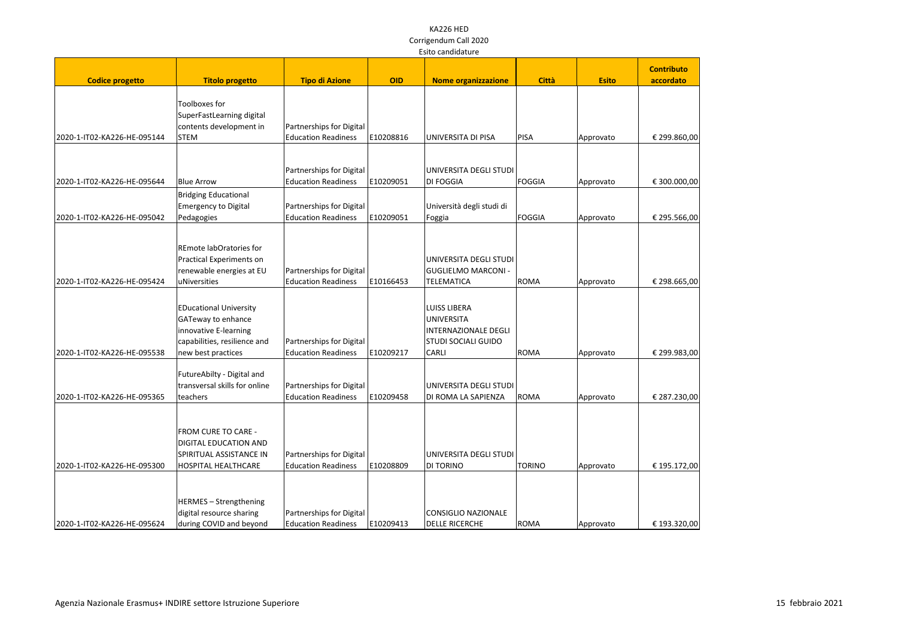|                             |                                                     |                            |            |                                           |               |              | <b>Contributo</b> |  |
|-----------------------------|-----------------------------------------------------|----------------------------|------------|-------------------------------------------|---------------|--------------|-------------------|--|
| <b>Codice progetto</b>      | <b>Titolo progetto</b>                              | <b>Tipo di Azione</b>      | <b>OID</b> | <b>Nome organizzazione</b>                | <b>Città</b>  | <b>Esito</b> | accordato         |  |
|                             |                                                     |                            |            |                                           |               |              |                   |  |
|                             | Toolboxes for                                       |                            |            |                                           |               |              |                   |  |
|                             | SuperFastLearning digital                           |                            |            |                                           |               |              |                   |  |
|                             | contents development in                             | Partnerships for Digital   |            |                                           |               |              |                   |  |
| 2020-1-IT02-KA226-HE-095144 | <b>STEM</b>                                         | <b>Education Readiness</b> | E10208816  | UNIVERSITA DI PISA                        | <b>PISA</b>   | Approvato    | € 299.860,00      |  |
|                             |                                                     |                            |            |                                           |               |              |                   |  |
|                             |                                                     | Partnerships for Digital   |            | UNIVERSITA DEGLI STUDI                    |               |              |                   |  |
| 2020-1-IT02-KA226-HE-095644 | <b>Blue Arrow</b>                                   | <b>Education Readiness</b> | E10209051  | <b>DI FOGGIA</b>                          | <b>FOGGIA</b> | Approvato    | € 300.000,00      |  |
|                             | <b>Bridging Educational</b>                         |                            |            |                                           |               |              |                   |  |
|                             | Emergency to Digital                                | Partnerships for Digital   |            | Università degli studi di                 |               |              |                   |  |
| 2020-1-IT02-KA226-HE-095042 | Pedagogies                                          | <b>Education Readiness</b> | E10209051  | Foggia                                    | <b>FOGGIA</b> | Approvato    | € 295.566,00      |  |
|                             |                                                     |                            |            |                                           |               |              |                   |  |
|                             | REmote labOratories for<br>Practical Experiments on |                            |            | UNIVERSITA DEGLI STUDI                    |               |              |                   |  |
|                             | renewable energies at EU                            | Partnerships for Digital   |            | <b>GUGLIELMO MARCONI -</b>                |               |              |                   |  |
| 2020-1-IT02-KA226-HE-095424 | uNiversities                                        | <b>Education Readiness</b> | E10166453  | <b>TELEMATICA</b>                         | <b>ROMA</b>   | Approvato    | € 298.665,00      |  |
|                             |                                                     |                            |            |                                           |               |              |                   |  |
|                             |                                                     |                            |            |                                           |               |              |                   |  |
|                             | <b>EDucational University</b>                       |                            |            | <b>LUISS LIBERA</b>                       |               |              |                   |  |
|                             | GATeway to enhance<br>innovative E-learning         |                            |            | <b>UNIVERSITA</b><br>INTERNAZIONALE DEGLI |               |              |                   |  |
|                             | capabilities, resilience and                        | Partnerships for Digital   |            | <b>STUDI SOCIALI GUIDO</b>                |               |              |                   |  |
| 2020-1-IT02-KA226-HE-095538 | new best practices                                  | <b>Education Readiness</b> | E10209217  | <b>CARLI</b>                              | <b>ROMA</b>   | Approvato    | € 299.983,00      |  |
|                             |                                                     |                            |            |                                           |               |              |                   |  |
|                             | FutureAbilty - Digital and                          |                            |            |                                           |               |              |                   |  |
|                             | transversal skills for online                       | Partnerships for Digital   |            | UNIVERSITA DEGLI STUDI                    |               |              |                   |  |
| 2020-1-IT02-KA226-HE-095365 | teachers                                            | <b>Education Readiness</b> | E10209458  | DI ROMA LA SAPIENZA                       | <b>ROMA</b>   | Approvato    | € 287.230,00      |  |
|                             |                                                     |                            |            |                                           |               |              |                   |  |
|                             | FROM CURE TO CARE -                                 |                            |            |                                           |               |              |                   |  |
|                             | <b>DIGITAL EDUCATION AND</b>                        |                            |            |                                           |               |              |                   |  |
|                             | SPIRITUAL ASSISTANCE IN                             | Partnerships for Digital   |            | UNIVERSITA DEGLI STUDI                    |               |              |                   |  |
| 2020-1-IT02-KA226-HE-095300 | <b>HOSPITAL HEALTHCARE</b>                          | <b>Education Readiness</b> | E10208809  | <b>DI TORINO</b>                          | <b>TORINO</b> | Approvato    | € 195.172,00      |  |
|                             |                                                     |                            |            |                                           |               |              |                   |  |
|                             | HERMES - Strengthening                              |                            |            |                                           |               |              |                   |  |
|                             | digital resource sharing                            | Partnerships for Digital   |            | CONSIGLIO NAZIONALE                       |               |              |                   |  |
| 2020-1-IT02-KA226-HE-095624 | during COVID and beyond                             | <b>Education Readiness</b> | E10209413  | <b>DELLE RICERCHE</b>                     | <b>ROMA</b>   | Approvato    | € 193.320,00      |  |
|                             |                                                     |                            |            |                                           |               |              |                   |  |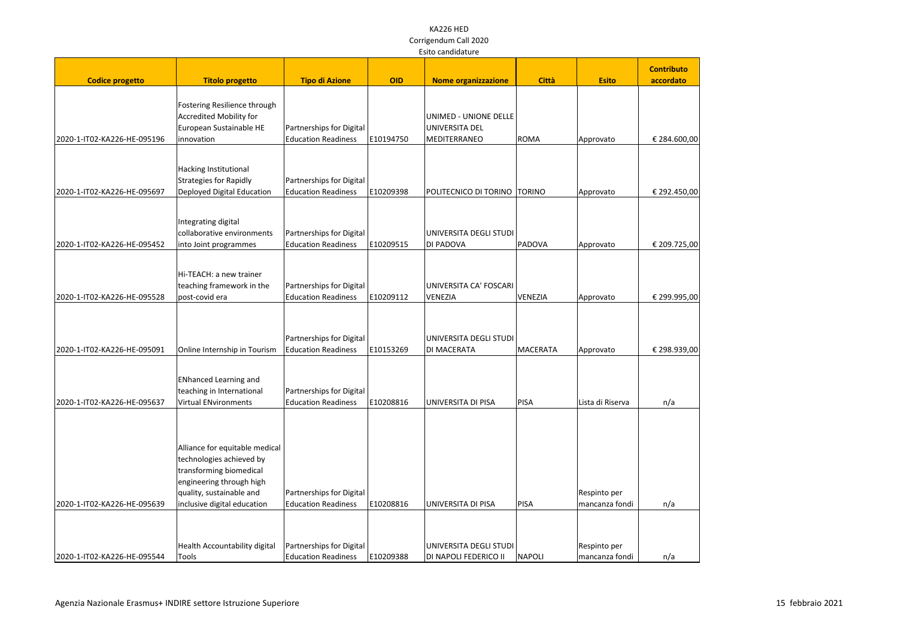|                             |                                                                                                                                                                              |                                                        |            |                                                         |                 |                                | <b>Contributo</b> |
|-----------------------------|------------------------------------------------------------------------------------------------------------------------------------------------------------------------------|--------------------------------------------------------|------------|---------------------------------------------------------|-----------------|--------------------------------|-------------------|
| <b>Codice progetto</b>      | <b>Titolo progetto</b>                                                                                                                                                       | <b>Tipo di Azione</b>                                  | <b>OID</b> | <b>Nome organizzazione</b>                              | <b>Città</b>    | <b>Esito</b>                   | accordato         |
| 2020-1-IT02-KA226-HE-095196 | Fostering Resilience through<br><b>Accredited Mobility for</b><br>European Sustainable HE<br>innovation                                                                      | Partnerships for Digital<br><b>Education Readiness</b> | E10194750  | UNIMED - UNIONE DELLE<br>UNIVERSITA DEL<br>MEDITERRANEO | ROMA            | Approvato                      | € 284.600,00      |
| 2020-1-IT02-KA226-HE-095697 | Hacking Institutional<br>Strategies for Rapidly<br>Deployed Digital Education                                                                                                | Partnerships for Digital<br><b>Education Readiness</b> | E10209398  | POLITECNICO DI TORINO   TORINO                          |                 | Approvato                      | € 292.450,00      |
| 2020-1-IT02-KA226-HE-095452 | Integrating digital<br>collaborative environments<br>into Joint programmes                                                                                                   | Partnerships for Digital<br><b>Education Readiness</b> | E10209515  | UNIVERSITA DEGLI STUDI<br>DI PADOVA                     | PADOVA          | Approvato                      | € 209.725,00      |
| 2020-1-IT02-KA226-HE-095528 | Hi-TEACH: a new trainer<br>teaching framework in the<br>post-covid era                                                                                                       | Partnerships for Digital<br><b>Education Readiness</b> | E10209112  | UNIVERSITA CA' FOSCARI<br>VENEZIA                       | VENEZIA         | Approvato                      | € 299.995,00      |
| 2020-1-IT02-KA226-HE-095091 | Online Internship in Tourism                                                                                                                                                 | Partnerships for Digital<br><b>Education Readiness</b> | E10153269  | UNIVERSITA DEGLI STUDI<br><b>DI MACERATA</b>            | <b>MACERATA</b> | Approvato                      | € 298.939,00      |
| 2020-1-IT02-KA226-HE-095637 | <b>ENhanced Learning and</b><br>teaching in International<br><b>Virtual ENvironments</b>                                                                                     | Partnerships for Digital<br><b>Education Readiness</b> | E10208816  | UNIVERSITA DI PISA                                      | PISA            | Lista di Riserva               | n/a               |
| 2020-1-IT02-KA226-HE-095639 | Alliance for equitable medical<br>technologies achieved by<br>transforming biomedical<br>engineering through high<br>quality, sustainable and<br>inclusive digital education | Partnerships for Digital<br><b>Education Readiness</b> | E10208816  | UNIVERSITA DI PISA                                      | PISA            | Respinto per<br>mancanza fondi | n/a               |
| 2020-1-IT02-KA226-HE-095544 | Health Accountability digital<br>Tools                                                                                                                                       | Partnerships for Digital<br><b>Education Readiness</b> | E10209388  | UNIVERSITA DEGLI STUDI<br>DI NAPOLI FEDERICO II         | <b>NAPOLI</b>   | Respinto per<br>mancanza fondi | n/a               |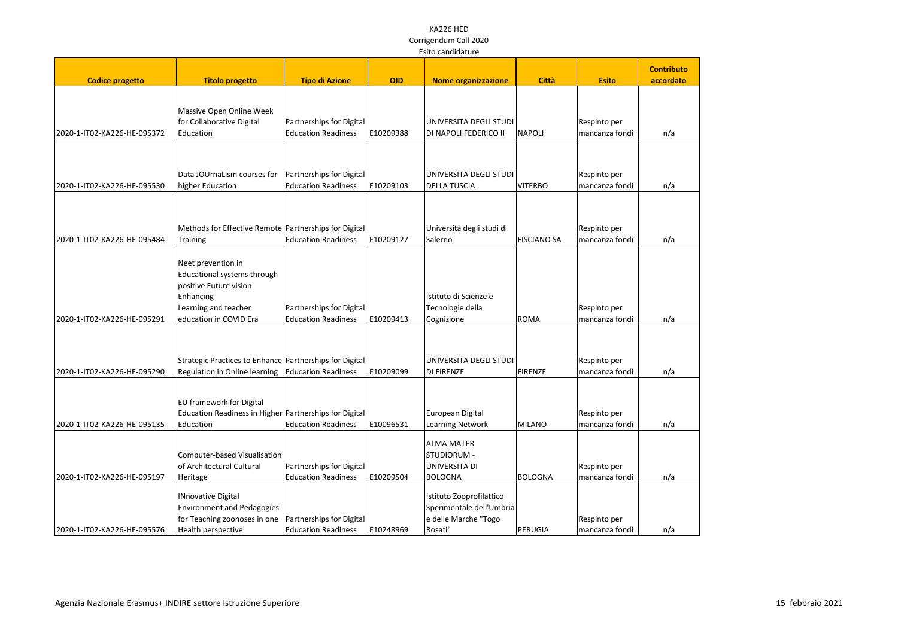|                             | LSILU Cariuluature                                      |                                                        |            |                                                 |                    |                                |                   |
|-----------------------------|---------------------------------------------------------|--------------------------------------------------------|------------|-------------------------------------------------|--------------------|--------------------------------|-------------------|
|                             |                                                         |                                                        |            |                                                 |                    |                                | <b>Contributo</b> |
| <b>Codice progetto</b>      | <b>Titolo progetto</b>                                  | <b>Tipo di Azione</b>                                  | <b>OID</b> | <b>Nome organizzazione</b>                      | <b>Città</b>       | <b>Esito</b>                   | accordato         |
|                             |                                                         |                                                        |            |                                                 |                    |                                |                   |
|                             |                                                         |                                                        |            |                                                 |                    |                                |                   |
|                             | Massive Open Online Week                                |                                                        |            |                                                 |                    |                                |                   |
| 2020-1-IT02-KA226-HE-095372 | for Collaborative Digital<br>Education                  | Partnerships for Digital<br><b>Education Readiness</b> | E10209388  | UNIVERSITA DEGLI STUDI<br>DI NAPOLI FEDERICO II | <b>NAPOLI</b>      | Respinto per<br>mancanza fondi |                   |
|                             |                                                         |                                                        |            |                                                 |                    |                                | n/a               |
|                             |                                                         |                                                        |            |                                                 |                    |                                |                   |
|                             |                                                         |                                                        |            |                                                 |                    |                                |                   |
|                             | Data JOUrnaLism courses for                             | Partnerships for Digital                               |            | UNIVERSITA DEGLI STUDI                          |                    | Respinto per                   |                   |
| 2020-1-IT02-KA226-HE-095530 | higher Education                                        | <b>Education Readiness</b>                             | E10209103  | <b>DELLA TUSCIA</b>                             | <b>VITERBO</b>     | mancanza fondi                 | n/a               |
|                             |                                                         |                                                        |            |                                                 |                    |                                |                   |
|                             |                                                         |                                                        |            |                                                 |                    |                                |                   |
|                             |                                                         |                                                        |            |                                                 |                    |                                |                   |
|                             | Methods for Effective Remote Partnerships for Digital   |                                                        |            | Università degli studi di                       |                    | Respinto per                   |                   |
| 2020-1-IT02-KA226-HE-095484 | Training                                                | <b>Education Readiness</b>                             | E10209127  | Salerno                                         | <b>FISCIANO SA</b> | mancanza fondi                 | n/a               |
|                             |                                                         |                                                        |            |                                                 |                    |                                |                   |
|                             | Neet prevention in                                      |                                                        |            |                                                 |                    |                                |                   |
|                             | Educational systems through                             |                                                        |            |                                                 |                    |                                |                   |
|                             | positive Future vision                                  |                                                        |            |                                                 |                    |                                |                   |
|                             | Enhancing                                               |                                                        |            | Istituto di Scienze e                           |                    |                                |                   |
|                             | Learning and teacher                                    | Partnerships for Digital                               |            | Tecnologie della                                |                    | Respinto per                   |                   |
| 2020-1-IT02-KA226-HE-095291 | education in COVID Era                                  | <b>Education Readiness</b>                             | E10209413  | Cognizione                                      | <b>ROMA</b>        | mancanza fondi                 | n/a               |
|                             |                                                         |                                                        |            |                                                 |                    |                                |                   |
|                             |                                                         |                                                        |            |                                                 |                    |                                |                   |
|                             | Strategic Practices to Enhance Partnerships for Digital |                                                        |            | UNIVERSITA DEGLI STUDI                          |                    | Respinto per                   |                   |
| 2020-1-IT02-KA226-HE-095290 | Regulation in Online learning   Education Readiness     |                                                        | E10209099  | DI FIRENZE                                      | FIRENZE            | mancanza fondi                 | n/a               |
|                             |                                                         |                                                        |            |                                                 |                    |                                |                   |
|                             |                                                         |                                                        |            |                                                 |                    |                                |                   |
|                             | EU framework for Digital                                |                                                        |            |                                                 |                    |                                |                   |
|                             | Education Readiness in Higher Partnerships for Digital  |                                                        |            | European Digital                                |                    | Respinto per                   |                   |
| 2020-1-IT02-KA226-HE-095135 | Education                                               | <b>Education Readiness</b>                             | E10096531  | <b>Learning Network</b>                         | MILANO             | mancanza fondi                 | n/a               |
|                             |                                                         |                                                        |            | <b>ALMA MATER</b>                               |                    |                                |                   |
|                             | Computer-based Visualisation                            |                                                        |            | STUDIORUM -                                     |                    |                                |                   |
|                             | of Architectural Cultural                               | Partnerships for Digital                               |            | UNIVERSITA DI                                   |                    | Respinto per                   |                   |
| 2020-1-IT02-KA226-HE-095197 | Heritage                                                | <b>Education Readiness</b>                             | E10209504  | <b>BOLOGNA</b>                                  | BOLOGNA            | mancanza fondi                 | n/a               |
|                             |                                                         |                                                        |            |                                                 |                    |                                |                   |
|                             | <b>INnovative Digital</b>                               |                                                        |            | Istituto Zooprofilattico                        |                    |                                |                   |
|                             | <b>Environment and Pedagogies</b>                       |                                                        |            | Sperimentale dell'Umbria                        |                    |                                |                   |
|                             | for Teaching zoonoses in one                            | Partnerships for Digital                               |            | e delle Marche "Togo                            |                    | Respinto per                   |                   |
| 2020-1-IT02-KA226-HE-095576 | Health perspective                                      | <b>Education Readiness</b>                             | E10248969  | Rosati"                                         | PERUGIA            | mancanza fondi                 | n/a               |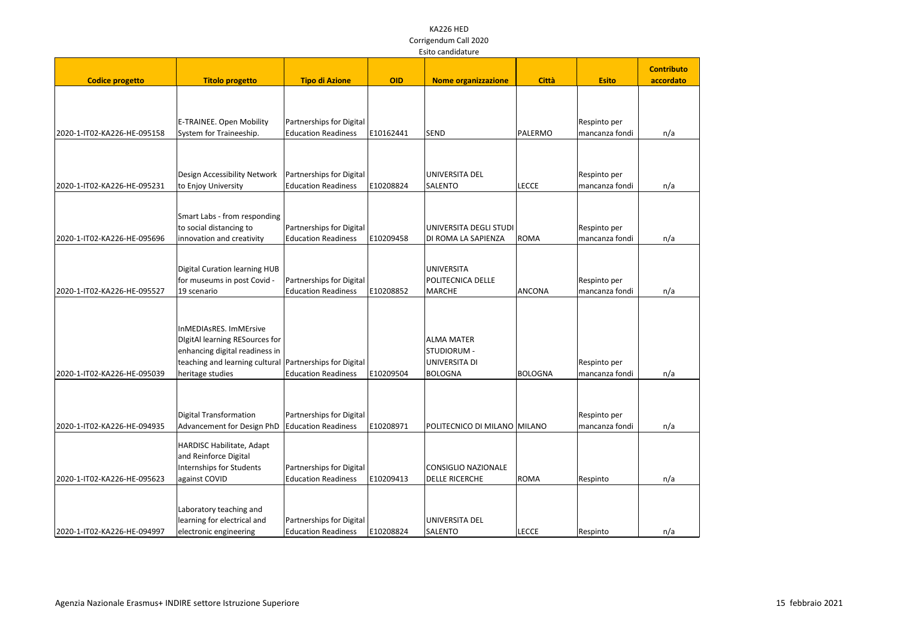|                             | Laitu canuluaturc                                         |                            |            |                              |              |                |                   |
|-----------------------------|-----------------------------------------------------------|----------------------------|------------|------------------------------|--------------|----------------|-------------------|
|                             |                                                           |                            |            |                              |              |                | <b>Contributo</b> |
| <b>Codice progetto</b>      | <b>Titolo progetto</b>                                    | <b>Tipo di Azione</b>      | <b>OID</b> | <b>Nome organizzazione</b>   | <b>Città</b> | <b>Esito</b>   | accordato         |
|                             |                                                           |                            |            |                              |              |                |                   |
|                             |                                                           |                            |            |                              |              |                |                   |
|                             |                                                           |                            |            |                              |              |                |                   |
|                             | E-TRAINEE. Open Mobility                                  | Partnerships for Digital   |            |                              |              | Respinto per   |                   |
| 2020-1-IT02-KA226-HE-095158 | System for Traineeship.                                   | <b>Education Readiness</b> | E10162441  | <b>SEND</b>                  | PALERMO      | mancanza fondi | n/a               |
|                             |                                                           |                            |            |                              |              |                |                   |
|                             |                                                           |                            |            |                              |              |                |                   |
|                             | Design Accessibility Network                              | Partnerships for Digital   |            | UNIVERSITA DEL               |              | Respinto per   |                   |
| 2020-1-IT02-KA226-HE-095231 | to Enjoy University                                       | <b>Education Readiness</b> | E10208824  | <b>SALENTO</b>               | <b>LECCE</b> | mancanza fondi | n/a               |
|                             |                                                           |                            |            |                              |              |                |                   |
|                             |                                                           |                            |            |                              |              |                |                   |
|                             | Smart Labs - from responding                              |                            |            |                              |              |                |                   |
|                             | to social distancing to                                   | Partnerships for Digital   |            | UNIVERSITA DEGLI STUDI       |              | Respinto per   |                   |
| 2020-1-IT02-KA226-HE-095696 | innovation and creativity                                 | <b>Education Readiness</b> | E10209458  | DI ROMA LA SAPIENZA          | <b>ROMA</b>  | mancanza fondi | n/a               |
|                             |                                                           |                            |            |                              |              |                |                   |
|                             | <b>Digital Curation learning HUB</b>                      |                            |            | <b>UNIVERSITA</b>            |              |                |                   |
|                             | for museums in post Covid -                               | Partnerships for Digital   |            | POLITECNICA DELLE            |              | Respinto per   |                   |
| 2020-1-IT02-KA226-HE-095527 | 19 scenario                                               | <b>Education Readiness</b> | E10208852  | <b>MARCHE</b>                | ANCONA       | mancanza fondi | n/a               |
|                             |                                                           |                            |            |                              |              |                |                   |
|                             |                                                           |                            |            |                              |              |                |                   |
|                             | InMEDIAsRES. ImMErsive                                    |                            |            |                              |              |                |                   |
|                             | DigitAl learning RESources for                            |                            |            | <b>ALMA MATER</b>            |              |                |                   |
|                             | enhancing digital readiness in                            |                            |            | STUDIORUM -                  |              |                |                   |
|                             | teaching and learning cultural   Partnerships for Digital |                            |            | UNIVERSITA DI                |              | Respinto per   |                   |
| 2020-1-IT02-KA226-HE-095039 | heritage studies                                          | <b>Education Readiness</b> | E10209504  | <b>BOLOGNA</b>               | BOLOGNA      | mancanza fondi | n/a               |
|                             |                                                           |                            |            |                              |              |                |                   |
|                             |                                                           |                            |            |                              |              |                |                   |
|                             |                                                           |                            |            |                              |              |                |                   |
|                             | Digital Transformation                                    | Partnerships for Digital   |            |                              |              | Respinto per   |                   |
| 2020-1-IT02-KA226-HE-094935 | Advancement for Design PhD                                | <b>Education Readiness</b> | E10208971  | POLITECNICO DI MILANO MILANO |              | mancanza fondi | n/a               |
|                             | HARDISC Habilitate, Adapt                                 |                            |            |                              |              |                |                   |
|                             | and Reinforce Digital                                     |                            |            |                              |              |                |                   |
|                             | Internships for Students                                  | Partnerships for Digital   |            | CONSIGLIO NAZIONALE          |              |                |                   |
| 2020-1-IT02-KA226-HE-095623 | against COVID                                             | <b>Education Readiness</b> | E10209413  | <b>DELLE RICERCHE</b>        | <b>ROMA</b>  | Respinto       | n/a               |
|                             |                                                           |                            |            |                              |              |                |                   |
|                             |                                                           |                            |            |                              |              |                |                   |
|                             | Laboratory teaching and                                   |                            |            |                              |              |                |                   |
|                             | learning for electrical and                               | Partnerships for Digital   |            | UNIVERSITA DEL               |              |                |                   |
| 2020-1-IT02-KA226-HE-094997 | electronic engineering                                    | <b>Education Readiness</b> | E10208824  | SALENTO                      | <b>LECCE</b> | Respinto       | n/a               |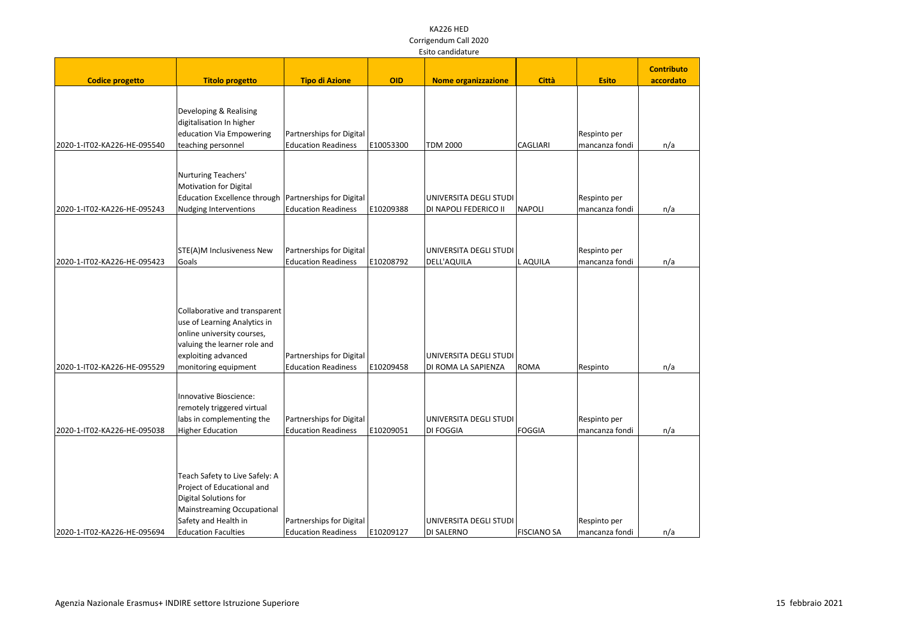|                             |                                                                                                                                                                                  |                                                        |            | Laitu cariuluaturc                              |                    |                                |                   |
|-----------------------------|----------------------------------------------------------------------------------------------------------------------------------------------------------------------------------|--------------------------------------------------------|------------|-------------------------------------------------|--------------------|--------------------------------|-------------------|
|                             |                                                                                                                                                                                  |                                                        |            |                                                 |                    |                                | <b>Contributo</b> |
| <b>Codice progetto</b>      | <b>Titolo progetto</b>                                                                                                                                                           | <b>Tipo di Azione</b>                                  | <b>OID</b> | <b>Nome organizzazione</b>                      | <b>Città</b>       | <b>Esito</b>                   | accordato         |
| 2020-1-IT02-KA226-HE-095540 | Developing & Realising<br>digitalisation In higher<br>education Via Empowering<br>teaching personnel                                                                             | Partnerships for Digital<br><b>Education Readiness</b> | E10053300  | <b>TDM 2000</b>                                 | <b>CAGLIARI</b>    | Respinto per<br>mancanza fondi | n/a               |
| 2020-1-IT02-KA226-HE-095243 | Nurturing Teachers'<br><b>Motivation for Digital</b><br>Education Excellence through   Partnerships for Digital<br>Nudging Interventions                                         | <b>Education Readiness</b>                             | E10209388  | UNIVERSITA DEGLI STUDI<br>DI NAPOLI FEDERICO II | NAPOLI             | Respinto per<br>mancanza fondi | n/a               |
|                             |                                                                                                                                                                                  |                                                        |            |                                                 |                    |                                |                   |
| 2020-1-IT02-KA226-HE-095423 | STE(A)M Inclusiveness New<br>Goals                                                                                                                                               | Partnerships for Digital<br><b>Education Readiness</b> | E10208792  | UNIVERSITA DEGLI STUDI<br>DELL'AQUILA           | L AQUILA           | Respinto per<br>mancanza fondi | n/a               |
| 2020-1-IT02-KA226-HE-095529 | Collaborative and transparent<br>use of Learning Analytics in<br>online university courses,<br>valuing the learner role and<br>exploiting advanced<br>monitoring equipment       | Partnerships for Digital<br><b>Education Readiness</b> | E10209458  | UNIVERSITA DEGLI STUDI<br>DI ROMA LA SAPIENZA   | <b>ROMA</b>        | Respinto                       | n/a               |
| 2020-1-IT02-KA226-HE-095038 | Innovative Bioscience:<br>remotely triggered virtual<br>labs in complementing the<br>Higher Education                                                                            | Partnerships for Digital<br><b>Education Readiness</b> | E10209051  | UNIVERSITA DEGLI STUDI<br><b>DI FOGGIA</b>      | <b>FOGGIA</b>      | Respinto per<br>mancanza fondi | n/a               |
| 2020-1-IT02-KA226-HE-095694 | Teach Safety to Live Safely: A<br>Project of Educational and<br>Digital Solutions for<br><b>Mainstreaming Occupational</b><br>Safety and Health in<br><b>Education Faculties</b> | Partnerships for Digital<br><b>Education Readiness</b> | E10209127  | UNIVERSITA DEGLI STUDI<br>DI SALERNO            | <b>FISCIANO SA</b> | Respinto per<br>mancanza fondi | n/a               |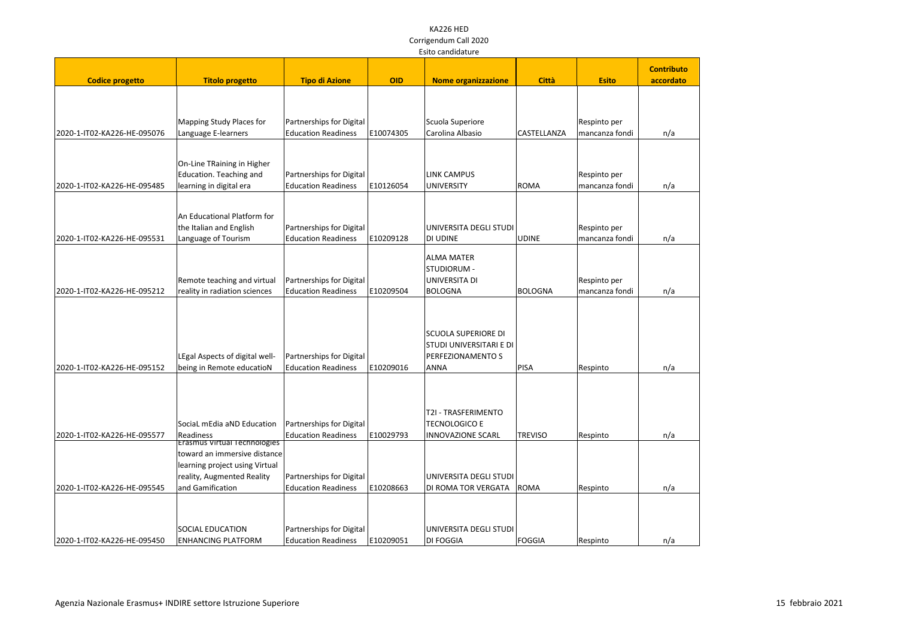|                             | Laitu canuluaturc                                                                                                                                       |                                                        |            |                                                                                           |                |                                |                   |
|-----------------------------|---------------------------------------------------------------------------------------------------------------------------------------------------------|--------------------------------------------------------|------------|-------------------------------------------------------------------------------------------|----------------|--------------------------------|-------------------|
|                             |                                                                                                                                                         |                                                        |            |                                                                                           |                |                                | <b>Contributo</b> |
| <b>Codice progetto</b>      | <b>Titolo progetto</b>                                                                                                                                  | <b>Tipo di Azione</b>                                  | <b>OID</b> | <b>Nome organizzazione</b>                                                                | <b>Città</b>   | <b>Esito</b>                   | accordato         |
| 2020-1-IT02-KA226-HE-095076 | Mapping Study Places for<br>Language E-learners                                                                                                         | Partnerships for Digital<br><b>Education Readiness</b> | E10074305  | Scuola Superiore<br>Carolina Albasio                                                      | CASTELLANZA    | Respinto per<br>mancanza fondi | n/a               |
| 2020-1-IT02-KA226-HE-095485 | On-Line TRaining in Higher<br>Education. Teaching and<br>learning in digital era                                                                        | Partnerships for Digital<br><b>Education Readiness</b> | E10126054  | <b>LINK CAMPUS</b><br>UNIVERSITY                                                          | ROMA           | Respinto per<br>mancanza fondi | n/a               |
| 2020-1-IT02-KA226-HE-095531 | An Educational Platform for<br>the Italian and English<br>Language of Tourism                                                                           | Partnerships for Digital<br><b>Education Readiness</b> | E10209128  | UNIVERSITA DEGLI STUDI<br><b>DI UDINE</b>                                                 | <b>UDINE</b>   | Respinto per<br>mancanza fondi | n/a               |
| 2020-1-IT02-KA226-HE-095212 | Remote teaching and virtual<br>reality in radiation sciences                                                                                            | Partnerships for Digital<br><b>Education Readiness</b> | E10209504  | <b>ALMA MATER</b><br>STUDIORUM -<br>UNIVERSITA DI<br><b>BOLOGNA</b>                       | BOLOGNA        | Respinto per<br>mancanza fondi | n/a               |
| 2020-1-IT02-KA226-HE-095152 | LEgal Aspects of digital well-<br>being in Remote educatioN                                                                                             | Partnerships for Digital<br><b>Education Readiness</b> | E10209016  | <b>SCUOLA SUPERIORE DI</b><br>STUDI UNIVERSITARI E DI<br>PERFEZIONAMENTO S<br><b>ANNA</b> | PISA           | Respinto                       | n/a               |
| 2020-1-IT02-KA226-HE-095577 | SociaL mEdia aND Education<br>Readiness                                                                                                                 | Partnerships for Digital<br><b>Education Readiness</b> | E10029793  | T2I - TRASFERIMENTO<br><b>TECNOLOGICO E</b><br>INNOVAZIONE SCARL                          | <b>TREVISO</b> | Respinto                       | n/a               |
| 2020-1-IT02-KA226-HE-095545 | <b>Erasmus Virtual Technologies</b><br>toward an immersive distance<br>learning project using Virtual<br>reality, Augmented Reality<br>and Gamification | Partnerships for Digital<br><b>Education Readiness</b> | E10208663  | UNIVERSITA DEGLI STUDI<br>DI ROMA TOR VERGATA                                             | ROMA           | Respinto                       | n/a               |
| 2020-1-IT02-KA226-HE-095450 | <b>SOCIAL EDUCATION</b><br><b>ENHANCING PLATFORM</b>                                                                                                    | Partnerships for Digital<br><b>Education Readiness</b> | E10209051  | UNIVERSITA DEGLI STUDI<br><b>DI FOGGIA</b>                                                | FOGGIA         | Respinto                       | n/a               |